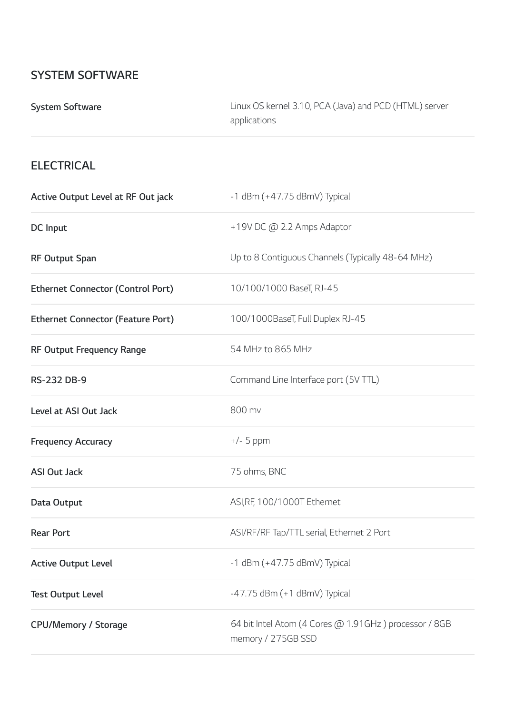### **SYSTEM SOFTWARE**

**System Software Linux OS kernel 3.10, PCA (Java) and PCD (HTML) server** applications

# **ELECTRICAL**

| Active Output Level at RF Out jack       | -1 dBm (+47.75 dBmV) Typical                                                |
|------------------------------------------|-----------------------------------------------------------------------------|
| DC Input                                 | +19V DC @ 2.2 Amps Adaptor                                                  |
| <b>RF Output Span</b>                    | Up to 8 Contiguous Channels (Typically 48-64 MHz)                           |
| <b>Ethernet Connector (Control Port)</b> | 10/100/1000 BaseT, RJ-45                                                    |
| <b>Ethernet Connector (Feature Port)</b> | 100/1000BaseT, Full Duplex RJ-45                                            |
| <b>RF Output Frequency Range</b>         | 54 MHz to 865 MHz                                                           |
| <b>RS-232 DB-9</b>                       | Command Line Interface port (5V TTL)                                        |
| Level at ASI Out Jack                    | 800 mv                                                                      |
| <b>Frequency Accuracy</b>                | $+/-$ 5 ppm                                                                 |
| <b>ASI Out Jack</b>                      | 75 ohms, BNC                                                                |
| Data Output                              | ASI, RF, 100/1000T Ethernet                                                 |
| <b>Rear Port</b>                         | ASI/RF/RF Tap/TTL serial, Ethernet 2 Port                                   |
| <b>Active Output Level</b>               | -1 dBm $(+47.75$ dBmV) Typical                                              |
| <b>Test Output Level</b>                 | $-47.75$ dBm $(+1$ dBmV) Typical                                            |
| <b>CPU/Memory / Storage</b>              | 64 bit Intel Atom (4 Cores @ 1.91GHz) processor / 8GB<br>memory / 275GB SSD |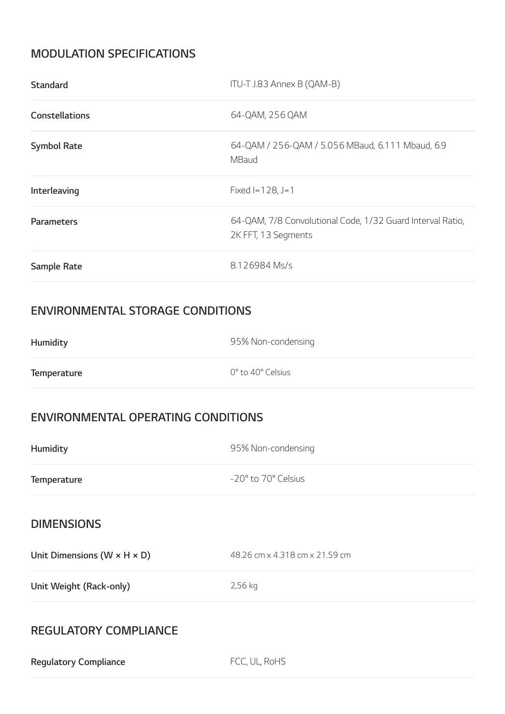### **MODULATION SPECIFICATIONS**

| <b>Standard</b>                            | ITU-T J.83 Annex B (QAM-B)                                                        |  |
|--------------------------------------------|-----------------------------------------------------------------------------------|--|
| <b>Constellations</b>                      | 64-QAM, 256 QAM                                                                   |  |
| <b>Symbol Rate</b>                         | 64-QAM / 256-QAM / 5.056 MBaud, 6.111 Mbaud, 6.9<br>MBaud                         |  |
| Interleaving                               | Fixed I=128, J=1                                                                  |  |
| <b>Parameters</b>                          | 64-QAM, 7/8 Convolutional Code, 1/32 Guard Interval Ratio,<br>2K FFT, 13 Segments |  |
| <b>Sample Rate</b>                         | 8.126984 Ms/s                                                                     |  |
| <b>ENUJIDONIMENTAL CTODACE CONDITIONIC</b> |                                                                                   |  |

#### **ENVIRONMENTAL STORAGE CONDITIONS**

| Humidity                           | 95% Non-condensing |  |
|------------------------------------|--------------------|--|
| Temperature                        | 0° to 40° Celsius  |  |
| ENVIRONMENTAL OPERATING CONDITIONS |                    |  |

| Humidity                                  | 95% Non-condensing             |
|-------------------------------------------|--------------------------------|
| Temperature                               | -20° to 70° Celsius            |
| <b>DIMENSIONS</b>                         |                                |
| Unit Dimensions (W $\times$ H $\times$ D) | 48.26 cm x 4.318 cm x 21.59 cm |
| Unit Weight (Rack-only)                   | 2,56 kg                        |
|                                           |                                |

## **REGULATORY COMPLIANCE**

**Regulatory Compliance** FCC, UL, RoHS